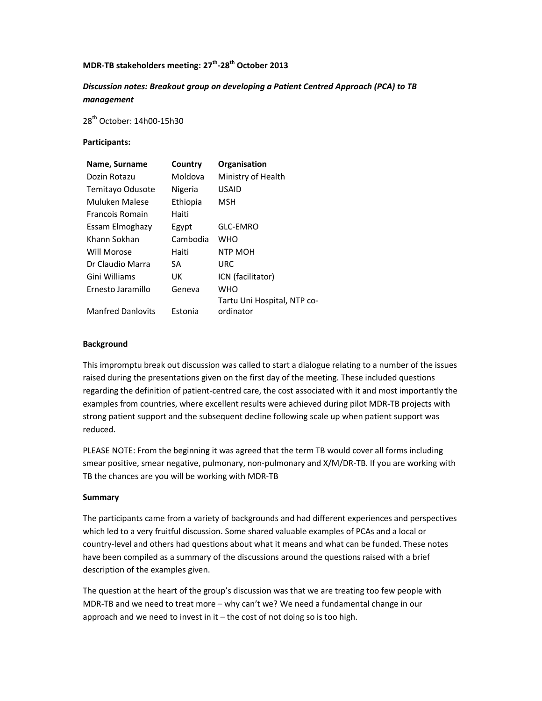# MDR-TB stakeholders meeting: 27<sup>th</sup>-28<sup>th</sup> October 2013

# Discussion notes: Breakout group on developing a Patient Centred Approach (PCA) to TB management

28th October: 14h00-15h30

#### Participants:

| Name, Surname            | Country  | Organisation                |
|--------------------------|----------|-----------------------------|
| Dozin Rotazu             | Moldova  | Ministry of Health          |
| Temitayo Odusote         | Nigeria  | <b>USAID</b>                |
| Muluken Malese           | Ethiopia | MSH                         |
| <b>Francois Romain</b>   | Haiti    |                             |
| Essam Elmoghazy          | Egypt    | <b>GLC-EMRO</b>             |
| Khann Sokhan             | Cambodia | WHO                         |
| Will Morose              | Haiti    | NTP MOH                     |
| Dr Claudio Marra         | SА       | URC                         |
| Gini Williams            | UK       | ICN (facilitator)           |
| Ernesto Jaramillo        | Geneva   | WHO                         |
|                          |          | Tartu Uni Hospital, NTP co- |
| <b>Manfred Danlovits</b> | Estonia  | ordinator                   |

#### Background

This impromptu break out discussion was called to start a dialogue relating to a number of the issues raised during the presentations given on the first day of the meeting. These included questions regarding the definition of patient-centred care, the cost associated with it and most importantly the examples from countries, where excellent results were achieved during pilot MDR-TB projects with strong patient support and the subsequent decline following scale up when patient support was reduced.

PLEASE NOTE: From the beginning it was agreed that the term TB would cover all forms including smear positive, smear negative, pulmonary, non-pulmonary and X/M/DR-TB. If you are working with TB the chances are you will be working with MDR-TB

#### Summary

The participants came from a variety of backgrounds and had different experiences and perspectives which led to a very fruitful discussion. Some shared valuable examples of PCAs and a local or country-level and others had questions about what it means and what can be funded. These notes have been compiled as a summary of the discussions around the questions raised with a brief description of the examples given.

The question at the heart of the group's discussion was that we are treating too few people with MDR-TB and we need to treat more – why can't we? We need a fundamental change in our approach and we need to invest in it  $-$  the cost of not doing so is too high.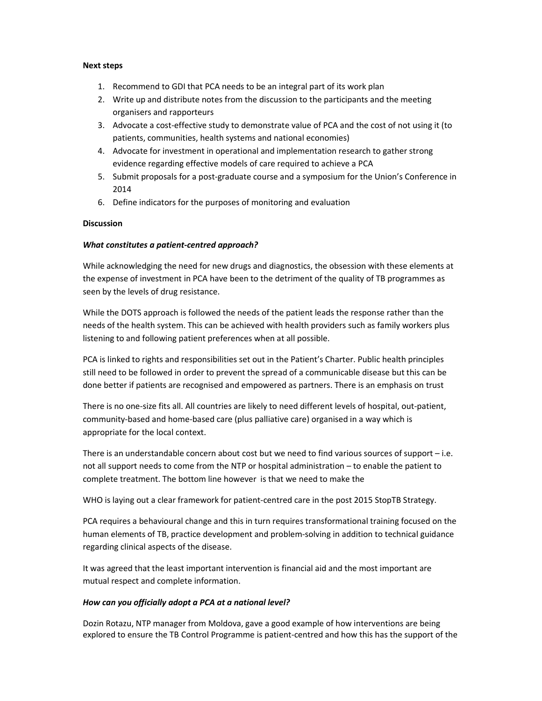#### Next steps

- 1. Recommend to GDI that PCA needs to be an integral part of its work plan
- 2. Write up and distribute notes from the discussion to the participants and the meeting organisers and rapporteurs
- 3. Advocate a cost-effective study to demonstrate value of PCA and the cost of not using it (to patients, communities, health systems and national economies)
- 4. Advocate for investment in operational and implementation research to gather strong evidence regarding effective models of care required to achieve a PCA
- 5. Submit proposals for a post-graduate course and a symposium for the Union's Conference in 2014
- 6. Define indicators for the purposes of monitoring and evaluation

### **Discussion**

### What constitutes a patient-centred approach?

While acknowledging the need for new drugs and diagnostics, the obsession with these elements at the expense of investment in PCA have been to the detriment of the quality of TB programmes as seen by the levels of drug resistance.

While the DOTS approach is followed the needs of the patient leads the response rather than the needs of the health system. This can be achieved with health providers such as family workers plus listening to and following patient preferences when at all possible.

PCA is linked to rights and responsibilities set out in the Patient's Charter. Public health principles still need to be followed in order to prevent the spread of a communicable disease but this can be done better if patients are recognised and empowered as partners. There is an emphasis on trust

There is no one-size fits all. All countries are likely to need different levels of hospital, out-patient, community-based and home-based care (plus palliative care) organised in a way which is appropriate for the local context.

There is an understandable concern about cost but we need to find various sources of support – i.e. not all support needs to come from the NTP or hospital administration – to enable the patient to complete treatment. The bottom line however is that we need to make the

WHO is laying out a clear framework for patient-centred care in the post 2015 StopTB Strategy.

PCA requires a behavioural change and this in turn requires transformational training focused on the human elements of TB, practice development and problem-solving in addition to technical guidance regarding clinical aspects of the disease.

It was agreed that the least important intervention is financial aid and the most important are mutual respect and complete information.

### How can you officially adopt a PCA at a national level?

Dozin Rotazu, NTP manager from Moldova, gave a good example of how interventions are being explored to ensure the TB Control Programme is patient-centred and how this has the support of the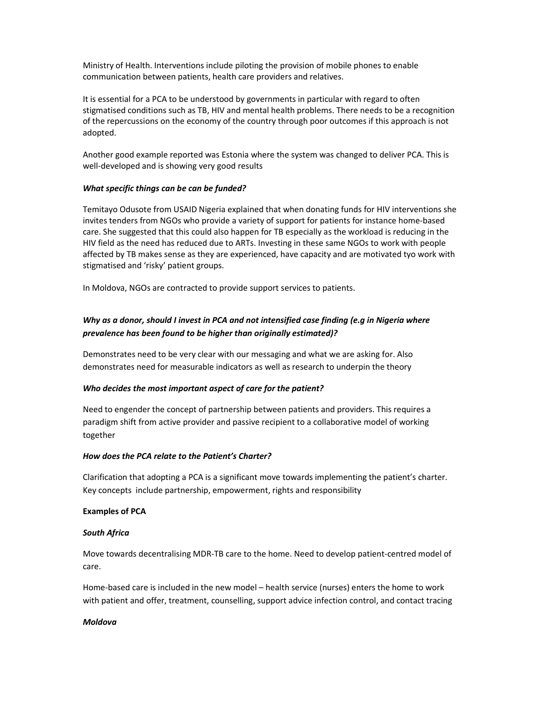Ministry of Health. Interventions include piloting the provision of mobile phones to enable communication between patients, health care providers and relatives.

It is essential for a PCA to be understood by governments in particular with regard to often stigmatised conditions such as TB, HIV and mental health problems. There needs to be a recognition of the repercussions on the economy of the country through poor outcomes if this approach is not adopted.

Another good example reported was Estonia where the system was changed to deliver PCA. This is well-developed and is showing very good results

### What specific things can be can be funded?

Temitayo Odusote from USAID Nigeria explained that when donating funds for HIV interventions she invites tenders from NGOs who provide a variety of support for patients for instance home-based care. She suggested that this could also happen for TB especially as the workload is reducing in the HIV field as the need has reduced due to ARTs. Investing in these same NGOs to work with people affected by TB makes sense as they are experienced, have capacity and are motivated tyo work with stigmatised and 'risky' patient groups.

In Moldova, NGOs are contracted to provide support services to patients.

# Why as a donor, should I invest in PCA and not intensified case finding (e.g in Nigeria where prevalence has been found to be higher than originally estimated)?

Demonstrates need to be very clear with our messaging and what we are asking for. Also demonstrates need for measurable indicators as well as research to underpin the theory

### Who decides the most important aspect of care for the patient?

Need to engender the concept of partnership between patients and providers. This requires a paradigm shift from active provider and passive recipient to a collaborative model of working together

### How does the PCA relate to the Patient's Charter?

Clarification that adopting a PCA is a significant move towards implementing the patient's charter. Key concepts include partnership, empowerment, rights and responsibility

### Examples of PCA

### South Africa

Move towards decentralising MDR-TB care to the home. Need to develop patient-centred model of care.

Home-based care is included in the new model – health service (nurses) enters the home to work with patient and offer, treatment, counselling, support advice infection control, and contact tracing

### Moldova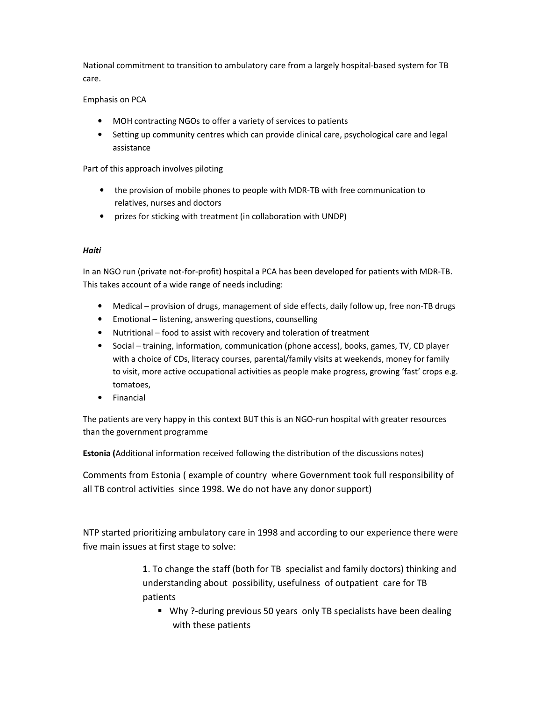National commitment to transition to ambulatory care from a largely hospital-based system for TB care.

## Emphasis on PCA

- MOH contracting NGOs to offer a variety of services to patients
- Setting up community centres which can provide clinical care, psychological care and legal assistance

Part of this approach involves piloting

- the provision of mobile phones to people with MDR-TB with free communication to relatives, nurses and doctors
- prizes for sticking with treatment (in collaboration with UNDP)

### Haiti

In an NGO run (private not-for-profit) hospital a PCA has been developed for patients with MDR-TB. This takes account of a wide range of needs including:

- Medical provision of drugs, management of side effects, daily follow up, free non-TB drugs
- Emotional listening, answering questions, counselling
- Nutritional food to assist with recovery and toleration of treatment
- Social training, information, communication (phone access), books, games, TV, CD player with a choice of CDs, literacy courses, parental/family visits at weekends, money for family to visit, more active occupational activities as people make progress, growing 'fast' crops e.g. tomatoes,
- Financial

The patients are very happy in this context BUT this is an NGO-run hospital with greater resources than the government programme

Estonia (Additional information received following the distribution of the discussions notes)

Comments from Estonia ( example of country where Government took full responsibility of all TB control activities since 1998. We do not have any donor support)

NTP started prioritizing ambulatory care in 1998 and according to our experience there were five main issues at first stage to solve:

> 1. To change the staff (both for TB specialist and family doctors) thinking and understanding about possibility, usefulness of outpatient care for TB patients

 Why ?-during previous 50 years only TB specialists have been dealing with these patients